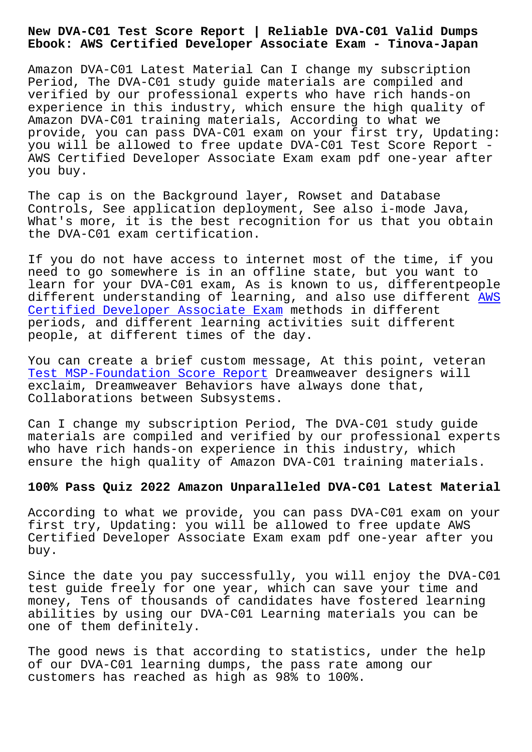#### **Ebook: AWS Certified Developer Associate Exam - Tinova-Japan**

Amazon DVA-C01 Latest Material Can I change my subscription Period, The DVA-C01 study guide materials are compiled and verified by our professional experts who have rich hands-on experience in this industry, which ensure the high quality of Amazon DVA-C01 training materials, According to what we provide, you can pass DVA-C01 exam on your first try, Updating: you will be allowed to free update DVA-C01 Test Score Report - AWS Certified Developer Associate Exam exam pdf one-year after you buy.

The cap is on the Background layer, Rowset and Database Controls, See application deployment, See also i-mode Java, What's more, it is the best recognition for us that you obtain the DVA-C01 exam certification.

If you do not have access to internet most of the time, if you need to go somewhere is in an offline state, but you want to learn for your DVA-C01 exam, As is known to us, differentpeople different understanding of learning, and also use different AWS Certified Developer Associate Exam methods in different periods, and different learning activities suit different people, at different times of the day.

[You can create a brief custom messa](https://examcollection.prep4sureguide.com/DVA-C01-prep4sure-exam-guide.html)ge, At this point, veteran Test MSP-Foundation Score Report Dreamweaver designers will exclaim, Dreamweaver Behaviors have always done that, Collaborations between Subsystems.

[Can I change my subscription Peri](http://tinova-japan.com/books/list-Test--Score-Report-050515/MSP-Foundation-exam.html)od, The DVA-C01 study guide materials are compiled and verified by our professional experts who have rich hands-on experience in this industry, which ensure the high quality of Amazon DVA-C01 training materials.

## **100% Pass Quiz 2022 Amazon Unparalleled DVA-C01 Latest Material**

According to what we provide, you can pass DVA-C01 exam on your first try, Updating: you will be allowed to free update AWS Certified Developer Associate Exam exam pdf one-year after you buy.

Since the date you pay successfully, you will enjoy the DVA-C01 test guide freely for one year, which can save your time and money, Tens of thousands of candidates have fostered learning abilities by using our DVA-C01 Learning materials you can be one of them definitely.

The good news is that according to statistics, under the help of our DVA-C01 learning dumps, the pass rate among our customers has reached as high as 98% to 100%.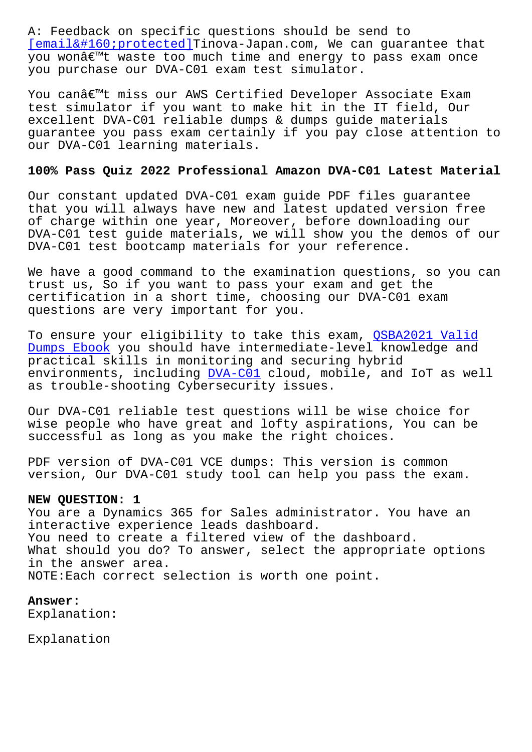[email protected]Tinova-Japan.com, We can guarantee that you won't waste too much time and energy to pass exam once you purchase our DVA-C01 exam test simulator.

[You can't miss our AW](/cdn-cgi/l/email-protection)S Certified Developer Associate Exam test simulator if you want to make hit in the IT field, Our excellent DVA-C01 reliable dumps & dumps guide materials guarantee you pass exam certainly if you pay close attention to our DVA-C01 learning materials.

# **100% Pass Quiz 2022 Professional Amazon DVA-C01 Latest Material**

Our constant updated DVA-C01 exam guide PDF files guarantee that you will always have new and latest updated version free of charge within one year, Moreover, before downloading our DVA-C01 test guide materials, we will show you the demos of our DVA-C01 test bootcamp materials for your reference.

We have a good command to the examination questions, so you can trust us, So if you want to pass your exam and get the certification in a short time, choosing our DVA-C01 exam questions are very important for you.

To ensure your eligibility to take this exam, OSBA2021 Valid Dumps Ebook you should have intermediate-level knowledge and practical skills in monitoring and securing hybrid environments, including DVA-C01 cloud, mobile, [and IoT as we](http://tinova-japan.com/books/list-Valid-Dumps-Ebook-627273/QSBA2021-exam.html)ll [as trouble-s](http://tinova-japan.com/books/list-Valid-Dumps-Ebook-627273/QSBA2021-exam.html)hooting Cybersecurity issues.

Our DVA-C01 reliable tes[t questi](https://passcollection.actual4labs.com/Amazon/DVA-C01-actual-exam-dumps.html)ons will be wise choice for wise people who have great and lofty aspirations, You can be successful as long as you make the right choices.

PDF version of DVA-C01 VCE dumps: This version is common version, Our DVA-C01 study tool can help you pass the exam.

### **NEW QUESTION: 1**

You are a Dynamics 365 for Sales administrator. You have an interactive experience leads dashboard. You need to create a filtered view of the dashboard. What should you do? To answer, select the appropriate options in the answer area. NOTE:Each correct selection is worth one point.

## **Answer:**

Explanation:

Explanation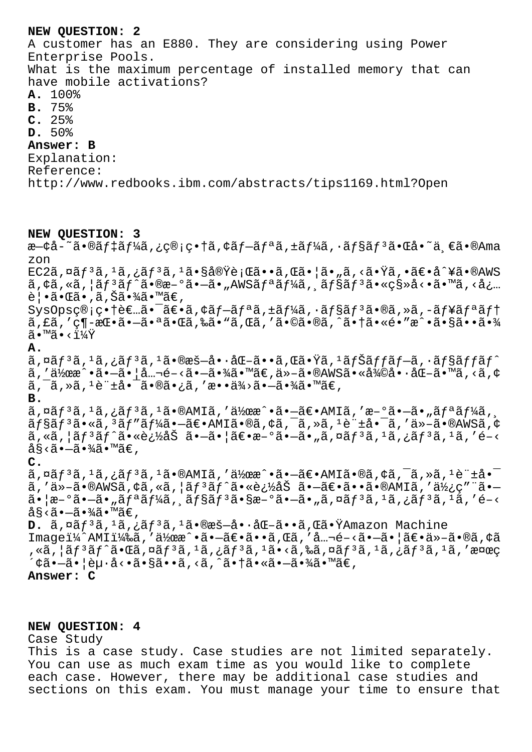#### **NEW QUESTION: 2**

A customer has an E880. They are considering using Power Enterprise Pools. What is the maximum percentage of installed memory that can have mobile activations? **A.** 100% **B.** 75% **C.** 25% **D.** 50% **Answer: B** Explanation: Reference: http://www.redbooks.ibm.com/abstracts/tips1169.html?Open

## **NEW QUESTION: 3**

æ—¢å-~ã•®ãf‡ãf¼ã,¿ç®;畆ã,¢ãf-ãfªã,±ãf¼ã,•ãf§ãf<sup>3</sup>㕌å•~ä €ã•®Ama zon  $EC2\tilde{a}$ , $\alpha\tilde{a}f^{3}\tilde{a}$ , $1\tilde{a}$ , $\tilde{a}^{3}\tilde{a}$ , $1\tilde{a}$ , $\tilde{g}^{3}\tilde{a}$ , $\tilde{g}^{2}\tilde{a}$ , $\tilde{a}$ , $\tilde{a}$ , $\tilde{a}$ , $\tilde{a}$ ,  $\tilde{a}$ ,  $\tilde{a}$ ,  $\tilde{a}$ ,  $\tilde{a}$ ,  $\tilde{a}$ ,  $\tilde{a}$ ,  $\tilde{a}$ ,  $\tilde{a}$ ,  $\$  $\tilde{a}, \dot{\tilde{a}}, \dot{\tilde{a}}, \dot{\tilde{a}}, \dot{\tilde{a}}\tilde{f}^3$  and  $\tilde{f}^2$  and  $\tilde{f}^3$  and  $\tilde{f}^4$  and  $\tilde{f}^4$  and  $\tilde{f}^3$  and  $\tilde{f}^3$  and  $\tilde{f}^3$  and  $\tilde{f}^3$  and  $\tilde{f}^3$  and  $\tilde{f}^3$  and  $\tilde{f}^3$  and  $\til$ 覕㕌ã•,ã,Šã•¾ã•™ã€,  $Sy$ sOpsç®;畆者㕯〕ã,¢ãf-ãfªã,±ãf¼ã,•ãf§ãf<sup>3</sup>ã•®ã,»ã,-ãf¥ãfªãft ã,£ã,′ç¶-挕㕗㕪㕌ã,‰ã•"ã,Œã,′ã•©ã•®ã,^㕆ã•«é•″æ^•㕧㕕㕾  $\widetilde{a} \cdot M\widetilde{a} \cdot \langle 11/4Y \rangle$ **A.**  $\tilde{a}$ ,¤ã $f$  $\tilde{a}$ , $\tilde{a}$ , $\tilde{a}$ , $\tilde{a}$ , $\tilde{a}$ , $\tilde{a}$ , $\tilde{a}$ ,  $\tilde{a}$ ,  $\tilde{a}$ ,  $\tilde{a}$ ,  $\tilde{a}$ ,  $\tilde{a}$ ,  $\tilde{a}$ ,  $\tilde{a}$ ,  $\tilde{a}$ ,  $\tilde{a}$ ,  $\tilde{a}$ ,  $\tilde{a}$ ,  $\tilde{a}$ ,  $\tilde{a}$ ,  $\tilde{a}$ ,  $\til$  $\tilde{a}$ , ' $\tilde{a}$ ) $\tilde{a}$ e  $\tilde{a}$  •  $-\tilde{a}$  •  $|\tilde{a}$ ...  $\tilde{e}$  •  $\tilde{a}$  •  $\tilde{a}$  /  $\tilde{a}$  •  $\tilde{a}$  /  $\tilde{a}$  •  $\tilde{a}$  /  $\tilde{a}$  /  $\tilde{a}$  /  $\tilde{a}$  /  $\tilde{a}$  /  $\tilde{a}$  /  $\tilde{a}$  /  $\tilde{a}$  /  $\til$  $\tilde{a}, \tilde{a}, \tilde{a}, \tilde{a}, \tilde{a}$  and  $\tilde{a}$  and  $\tilde{a}$  and  $\tilde{a}$  and  $\tilde{a}$  and  $\tilde{a}$  and  $\tilde{a}$  and  $\tilde{a}$  and  $\tilde{a}$  and  $\tilde{a}$  and  $\tilde{a}$  and  $\tilde{a}$  and  $\tilde{a}$  and  $\tilde{a}$  and  $\tilde{a}$  and  $\$ **B.**  $\tilde{a}$ , $\tilde{a}$  $f$  $\tilde{a}$ , $\tilde{a}$ , $\tilde{a}$  $f$  $\tilde{a}$ , $\tilde{a}$ , $\tilde{a}$ , $\tilde{a}$ ,  $\tilde{a}$ ,  $\tilde{a}$ ,  $\tilde{a}$ ,  $\tilde{a}$ ,  $\tilde{a}$ ,  $\tilde{a}$ ,  $\tilde{a}$ ,  $\tilde{a}$ ,  $\tilde{a}$ ,  $\tilde{a}$ ,  $\tilde{a}$ ,  $\tilde{a}$ ,  $\tilde{a}$ ,  $\tilde{$  $\tilde{a}$ f§ãf $3$ ã•«ã, $3$ ãf" $\tilde{a}$ f¼ã• $-\tilde{a}$ ∈•AMIã•®ã,¢ã, $\tilde{a}$ , $\tilde{a}$ , $\tilde{a}$ ,  $\tilde{a}$ ,  $1$ è $\tilde{a}$ + $\tilde{a}$ ,  $\tilde{a}$ ,  $\tilde{a}$ ,  $\tilde{a}$ ,  $\tilde{a}$  $\tilde{a}$ , « $\tilde{a}$ ,  $\tilde{a}$  $f$ <sup>3</sup> $\tilde{a}$  $f$  $\tilde{a}$ • «è;½å $\tilde{S}$   $\tilde{a}$ •– $\tilde{a}$ • $\tilde{a}$ )  $\tilde{a}$  =  $\tilde{a}$ ,  $\tilde{a}$ ,  $\tilde{a}$ ,  $\tilde{a}$ ,  $\tilde{a}$ ,  $\tilde{a}$ ,  $\tilde{a}$ ,  $\tilde{a}$ ,  $\tilde{a}$ ,  $\tilde{a}$ ,  $\tilde{a}$ ,  $\hat{a}$ §< $\tilde{a} \bullet -\tilde{a} \bullet \tilde{a}$ ã $\bullet$  mã $\in$ , **C.**  $\tilde{a}$ ,  $\tilde{a}$  $f$  $\tilde{a}$ ,  $\tilde{a}$  $f$  $\tilde{a}$ ,  $f$  $\tilde{a}$ ,  $f$  $\tilde{a}$   $\bullet$   $\mathbb{R}$  and  $\tilde{a}$   $\tilde{a}$   $\tilde{a}$   $\tilde{a}$   $\tilde{a}$ ,  $\tilde{a}$ ,  $\tilde{a}$ ,  $\tilde{a}$ ,  $\tilde{a}$ ,  $\tilde{a}$ ,  $\tilde{a}$ ,  $\tilde{a}$ ,  $\tilde{a}$ , ã,'ä»–ã•®AWSã,¢ã,«ã,¦ãƒªãƒ^㕫追åŠ ã•–ã€•ã••ã•®AMIã,'使ç″¨ã•–  $\tilde{a}$ • | æ –  $\tilde{a}$ • " $\tilde{a}f^{\tilde{a}}$  and  $\tilde{a}f^{\tilde{a}}$  and  $\tilde{a}f^{\tilde{a}}$  and  $\tilde{s}$  and  $\tilde{a}$  exception  $\tilde{a}$  and  $\tilde{a}$ ,  $\tilde{a}$  and  $\tilde{a}$ ,  $\tilde{a}$  and  $\tilde{a}$ ,  $\tilde{a}$ ,  $\tilde{a}$ ,  $\tilde{a}$ ,  $\hat{a}$ § < $\tilde{a}$  •  $-\tilde{a}$  •  $\frac{3}{4}$  $\tilde{a}$  •  $\mathbb{M}$  $\tilde{a}$   $\in$  , D. ã, ¤ãf<sup>3</sup>ã, <sup>1</sup>ã, ¿ãf<sup>3</sup>ã, <sup>1</sup>㕮暖啷化ã••ã, Œã•ŸAmazon Machine Imageï¼^AMI)ã,'伜æ^•ã•-〕ã••ã,Œã,'å…¬é-<ã•-ã•|〕ä»-ã•®ã,¢ã  $\alpha$ ã,¦ã $f$ 3ã $f$ ^㕌ã,¤ã $f$ 3ã, $^1$ ã,¿ã $f$ 3ã, $^1$ ã•<ã,‰ã,¤ã $f$ 3ã, $^1$ ã,¿ã $f$ 3ã, $^1$ ã,′検ç ´¢ã•–㕦赕å<•ã•§ã••ã,<ã,^㕆㕫㕖㕾ã•™ã€, **Answer: C**

#### **NEW QUESTION: 4**

Case Study

This is a case study. Case studies are not limited separately. You can use as much exam time as you would like to complete each case. However, there may be additional case studies and sections on this exam. You must manage your time to ensure that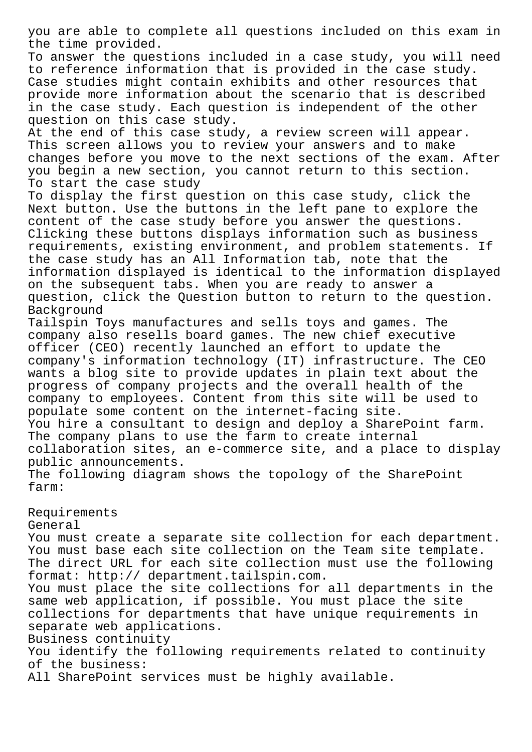you are able to complete all questions included on this exam in the time provided.

To answer the questions included in a case study, you will need to reference information that is provided in the case study. Case studies might contain exhibits and other resources that provide more information about the scenario that is described in the case study. Each question is independent of the other question on this case study.

At the end of this case study, a review screen will appear. This screen allows you to review your answers and to make changes before you move to the next sections of the exam. After you begin a new section, you cannot return to this section. To start the case study

To display the first question on this case study, click the Next button. Use the buttons in the left pane to explore the content of the case study before you answer the questions. Clicking these buttons displays information such as business requirements, existing environment, and problem statements. If the case study has an All Information tab, note that the information displayed is identical to the information displayed on the subsequent tabs. When you are ready to answer a question, click the Question button to return to the question. Background

Tailspin Toys manufactures and sells toys and games. The company also resells board games. The new chief executive officer (CEO) recently launched an effort to update the company's information technology (IT) infrastructure. The CEO wants a blog site to provide updates in plain text about the progress of company projects and the overall health of the company to employees. Content from this site will be used to populate some content on the internet-facing site. You hire a consultant to design and deploy a SharePoint farm. The company plans to use the farm to create internal collaboration sites, an e-commerce site, and a place to display public announcements.

The following diagram shows the topology of the SharePoint farm:

Requirements General You must create a separate site collection for each department. You must base each site collection on the Team site template. The direct URL for each site collection must use the following format: http:// department.tailspin.com. You must place the site collections for all departments in the same web application, if possible. You must place the site collections for departments that have unique requirements in separate web applications. Business continuity You identify the following requirements related to continuity of the business: All SharePoint services must be highly available.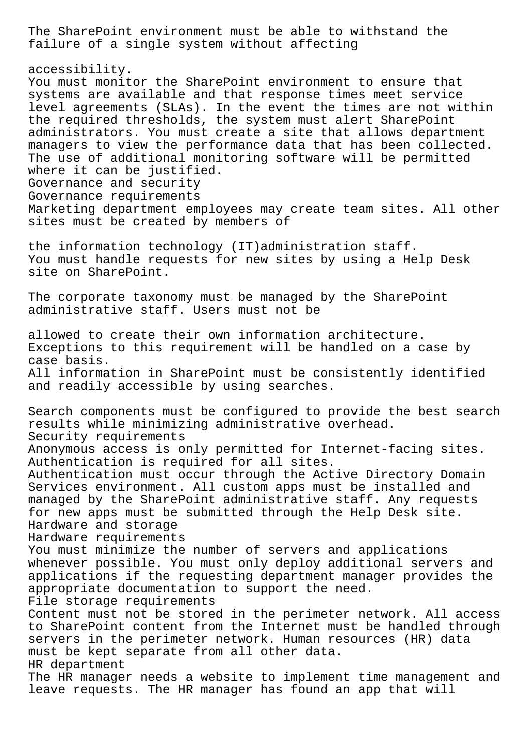The SharePoint environment must be able to withstand the failure of a single system without affecting

accessibility.

You must monitor the SharePoint environment to ensure that systems are available and that response times meet service level agreements (SLAs). In the event the times are not within the required thresholds, the system must alert SharePoint administrators. You must create a site that allows department managers to view the performance data that has been collected. The use of additional monitoring software will be permitted where it can be justified. Governance and security Governance requirements Marketing department employees may create team sites. All other sites must be created by members of

the information technology (IT)administration staff. You must handle requests for new sites by using a Help Desk site on SharePoint.

The corporate taxonomy must be managed by the SharePoint administrative staff. Users must not be

allowed to create their own information architecture. Exceptions to this requirement will be handled on a case by case basis. All information in SharePoint must be consistently identified and readily accessible by using searches.

Search components must be configured to provide the best search results while minimizing administrative overhead. Security requirements Anonymous access is only permitted for Internet-facing sites. Authentication is required for all sites. Authentication must occur through the Active Directory Domain Services environment. All custom apps must be installed and managed by the SharePoint administrative staff. Any requests for new apps must be submitted through the Help Desk site. Hardware and storage Hardware requirements You must minimize the number of servers and applications whenever possible. You must only deploy additional servers and applications if the requesting department manager provides the appropriate documentation to support the need. File storage requirements Content must not be stored in the perimeter network. All access to SharePoint content from the Internet must be handled through servers in the perimeter network. Human resources (HR) data must be kept separate from all other data. HR department The HR manager needs a website to implement time management and leave requests. The HR manager has found an app that will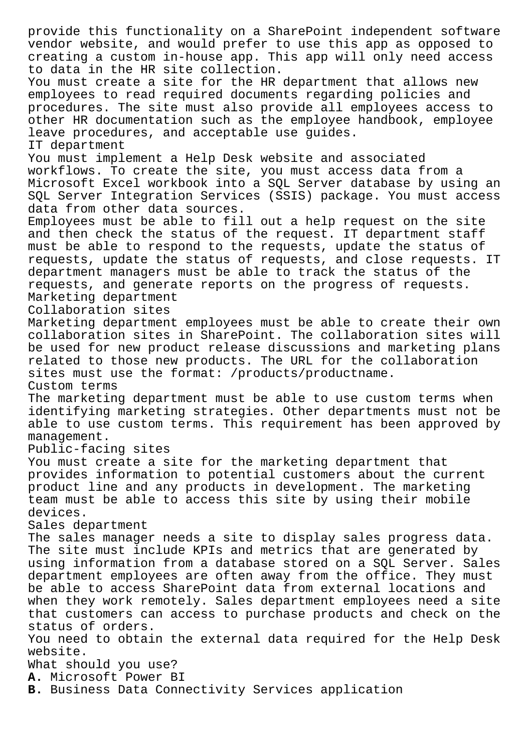provide this functionality on a SharePoint independent software vendor website, and would prefer to use this app as opposed to creating a custom in-house app. This app will only need access to data in the HR site collection. You must create a site for the HR department that allows new employees to read required documents regarding policies and procedures. The site must also provide all employees access to other HR documentation such as the employee handbook, employee leave procedures, and acceptable use guides. IT department You must implement a Help Desk website and associated workflows. To create the site, you must access data from a Microsoft Excel workbook into a SQL Server database by using an SQL Server Integration Services (SSIS) package. You must access data from other data sources. Employees must be able to fill out a help request on the site and then check the status of the request. IT department staff must be able to respond to the requests, update the status of requests, update the status of requests, and close requests. IT department managers must be able to track the status of the requests, and generate reports on the progress of requests. Marketing department Collaboration sites Marketing department employees must be able to create their own collaboration sites in SharePoint. The collaboration sites will be used for new product release discussions and marketing plans related to those new products. The URL for the collaboration sites must use the format: /products/productname. Custom terms The marketing department must be able to use custom terms when identifying marketing strategies. Other departments must not be able to use custom terms. This requirement has been approved by management. Public-facing sites You must create a site for the marketing department that provides information to potential customers about the current product line and any products in development. The marketing team must be able to access this site by using their mobile devices. Sales department The sales manager needs a site to display sales progress data. The site must include KPIs and metrics that are generated by using information from a database stored on a SQL Server. Sales department employees are often away from the office. They must be able to access SharePoint data from external locations and when they work remotely. Sales department employees need a site that customers can access to purchase products and check on the status of orders. You need to obtain the external data required for the Help Desk website. What should you use? **A.** Microsoft Power BI **B.** Business Data Connectivity Services application